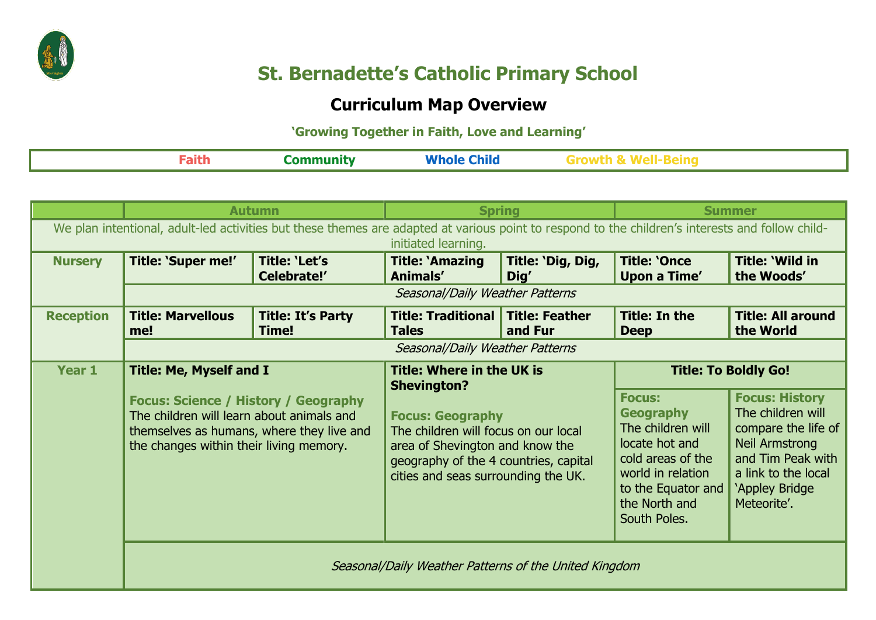

## **St. Bernadette's Catholic Primary School**

## **Curriculum Map Overview**

## **'Growing Together in Faith, Love and Learning'**

|  | Æ |
|--|---|
|--|---|

|                                                                                                                                                                         | <b>Autumn</b>                                                                                                                                                                                                      |                                     | <b>Spring</b>                                                                                                                                                                                                                                |                                  | <b>Summer</b>                                                                                                                                                             |                                                                                                                                                                  |
|-------------------------------------------------------------------------------------------------------------------------------------------------------------------------|--------------------------------------------------------------------------------------------------------------------------------------------------------------------------------------------------------------------|-------------------------------------|----------------------------------------------------------------------------------------------------------------------------------------------------------------------------------------------------------------------------------------------|----------------------------------|---------------------------------------------------------------------------------------------------------------------------------------------------------------------------|------------------------------------------------------------------------------------------------------------------------------------------------------------------|
| We plan intentional, adult-led activities but these themes are adapted at various point to respond to the children's interests and follow child-<br>initiated learning. |                                                                                                                                                                                                                    |                                     |                                                                                                                                                                                                                                              |                                  |                                                                                                                                                                           |                                                                                                                                                                  |
| <b>Nursery</b>                                                                                                                                                          | Title: 'Super me!'                                                                                                                                                                                                 | <b>Title: 'Let's</b><br>Celebrate!' | <b>Title: `Amazing</b><br>Animals'                                                                                                                                                                                                           | Title: 'Dig, Dig,<br>Dig'        | <b>Title: 'Once</b><br>Upon a Time'                                                                                                                                       | <b>Title: 'Wild in</b><br>the Woods'                                                                                                                             |
|                                                                                                                                                                         | Seasonal/Daily Weather Patterns                                                                                                                                                                                    |                                     |                                                                                                                                                                                                                                              |                                  |                                                                                                                                                                           |                                                                                                                                                                  |
| <b>Reception</b>                                                                                                                                                        | <b>Title: Marvellous</b><br>me!                                                                                                                                                                                    | <b>Title: It's Party</b><br>Time!   | <b>Title: Traditional</b><br><b>Tales</b>                                                                                                                                                                                                    | <b>Title: Feather</b><br>and Fur | <b>Title: In the</b><br><b>Deep</b>                                                                                                                                       | <b>Title: All around</b><br>the World                                                                                                                            |
|                                                                                                                                                                         | Seasonal/Daily Weather Patterns                                                                                                                                                                                    |                                     |                                                                                                                                                                                                                                              |                                  |                                                                                                                                                                           |                                                                                                                                                                  |
| Year 1                                                                                                                                                                  | <b>Title: Me, Myself and I</b><br><b>Focus: Science / History / Geography</b><br>The children will learn about animals and<br>themselves as humans, where they live and<br>the changes within their living memory. |                                     | <b>Title: Where in the UK is</b><br><b>Shevington?</b><br><b>Focus: Geography</b><br>The children will focus on our local<br>area of Shevington and know the<br>geography of the 4 countries, capital<br>cities and seas surrounding the UK. |                                  | <b>Title: To Boldly Go!</b>                                                                                                                                               |                                                                                                                                                                  |
|                                                                                                                                                                         |                                                                                                                                                                                                                    |                                     |                                                                                                                                                                                                                                              |                                  | <b>Focus:</b><br><b>Geography</b><br>The children will<br>locate hot and<br>cold areas of the<br>world in relation<br>to the Equator and<br>the North and<br>South Poles. | <b>Focus: History</b><br>The children will<br>compare the life of<br>Neil Armstrong<br>and Tim Peak with<br>a link to the local<br>'Appley Bridge<br>Meteorite'. |
|                                                                                                                                                                         | Seasonal/Daily Weather Patterns of the United Kingdom                                                                                                                                                              |                                     |                                                                                                                                                                                                                                              |                                  |                                                                                                                                                                           |                                                                                                                                                                  |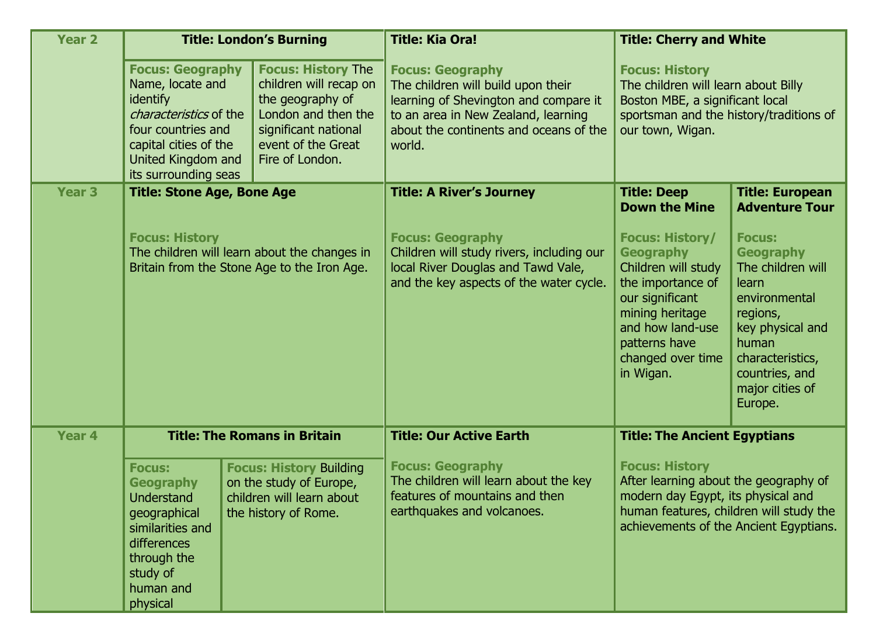| <b>Year 2</b>     | <b>Title: London's Burning</b>                                                                                                                                                 |                                                                                                                                                                 | <b>Title: Kia Ora!</b>                                                                                                                                                                            | <b>Title: Cherry and White</b>                                                                                                                                                                      |                                                                                                                                                                                               |
|-------------------|--------------------------------------------------------------------------------------------------------------------------------------------------------------------------------|-----------------------------------------------------------------------------------------------------------------------------------------------------------------|---------------------------------------------------------------------------------------------------------------------------------------------------------------------------------------------------|-----------------------------------------------------------------------------------------------------------------------------------------------------------------------------------------------------|-----------------------------------------------------------------------------------------------------------------------------------------------------------------------------------------------|
|                   | <b>Focus: Geography</b><br>Name, locate and<br>identify<br>characteristics of the<br>four countries and<br>capital cities of the<br>United Kingdom and<br>its surrounding seas | <b>Focus: History The</b><br>children will recap on<br>the geography of<br>London and then the<br>significant national<br>event of the Great<br>Fire of London. | <b>Focus: Geography</b><br>The children will build upon their<br>learning of Shevington and compare it<br>to an area in New Zealand, learning<br>about the continents and oceans of the<br>world. | <b>Focus: History</b><br>The children will learn about Billy<br>Boston MBE, a significant local<br>sportsman and the history/traditions of<br>our town, Wigan.                                      |                                                                                                                                                                                               |
| <b>Year 3</b>     | <b>Title: Stone Age, Bone Age</b>                                                                                                                                              |                                                                                                                                                                 | <b>Title: A River's Journey</b>                                                                                                                                                                   | <b>Title: Deep</b><br><b>Down the Mine</b>                                                                                                                                                          | <b>Title: European</b><br><b>Adventure Tour</b>                                                                                                                                               |
|                   | <b>Focus: History</b><br>The children will learn about the changes in<br>Britain from the Stone Age to the Iron Age.                                                           |                                                                                                                                                                 | <b>Focus: Geography</b><br>Children will study rivers, including our<br>local River Douglas and Tawd Vale,<br>and the key aspects of the water cycle.                                             | <b>Focus: History/</b><br><b>Geography</b><br>Children will study<br>the importance of<br>our significant<br>mining heritage<br>and how land-use<br>patterns have<br>changed over time<br>in Wigan. | <b>Focus:</b><br><b>Geography</b><br>The children will<br>learn<br>environmental<br>regions,<br>key physical and<br>human<br>characteristics,<br>countries, and<br>major cities of<br>Europe. |
| Year <sub>4</sub> | <b>Title: The Romans in Britain</b>                                                                                                                                            |                                                                                                                                                                 | <b>Title: Our Active Earth</b>                                                                                                                                                                    | <b>Title: The Ancient Egyptians</b>                                                                                                                                                                 |                                                                                                                                                                                               |
|                   | <b>Focus:</b><br><b>Geography</b><br><b>Understand</b><br>geographical<br>similarities and<br>differences<br>through the<br>study of<br>human and<br>physical                  | <b>Focus: History Building</b><br>on the study of Europe,<br>children will learn about<br>the history of Rome.                                                  | <b>Focus: Geography</b><br>The children will learn about the key<br>features of mountains and then<br>earthquakes and volcanoes.                                                                  | <b>Focus: History</b><br>After learning about the geography of<br>modern day Egypt, its physical and<br>human features, children will study the<br>achievements of the Ancient Egyptians.           |                                                                                                                                                                                               |